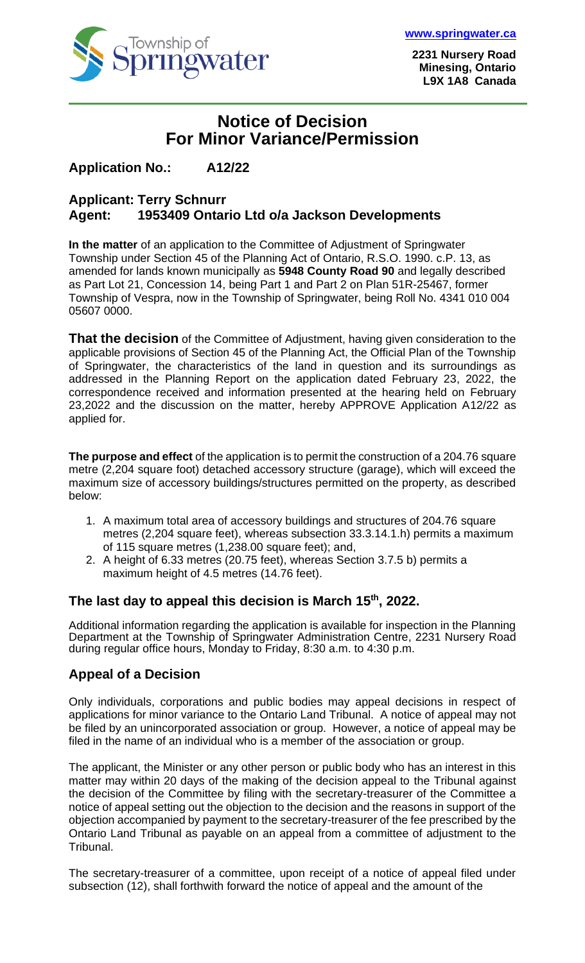

**2231 Nursery Road Minesing, Ontario L9X 1A8 Canada**

# **Notice of Decision For Minor Variance/Permission**

### **Application No.: A12/22**

#### **Applicant: Terry Schnurr Agent: 1953409 Ontario Ltd o/a Jackson Developments**

**In the matter** of an application to the Committee of Adjustment of Springwater Township under Section 45 of the Planning Act of Ontario, R.S.O. 1990. c.P. 13, as amended for lands known municipally as **5948 County Road 90** and legally described as Part Lot 21, Concession 14, being Part 1 and Part 2 on Plan 51R-25467, former Township of Vespra, now in the Township of Springwater, being Roll No. 4341 010 004 05607 0000.

**That the decision** of the Committee of Adjustment, having given consideration to the applicable provisions of Section 45 of the Planning Act, the Official Plan of the Township of Springwater, the characteristics of the land in question and its surroundings as addressed in the Planning Report on the application dated February 23, 2022, the correspondence received and information presented at the hearing held on February 23,2022 and the discussion on the matter, hereby APPROVE Application A12/22 as applied for.

**The purpose and effect** of the application is to permit the construction of a 204.76 square metre (2,204 square foot) detached accessory structure (garage), which will exceed the maximum size of accessory buildings/structures permitted on the property, as described below:

- 1. A maximum total area of accessory buildings and structures of 204.76 square metres (2,204 square feet), whereas subsection 33.3.14.1.h) permits a maximum of 115 square metres (1,238.00 square feet); and,
- 2. A height of 6.33 metres (20.75 feet), whereas Section 3.7.5 b) permits a maximum height of 4.5 metres (14.76 feet).

### **The last day to appeal this decision is March 15 th, 2022.**

Additional information regarding the application is available for inspection in the Planning Department at the Township of Springwater Administration Centre, 2231 Nursery Road during regular office hours, Monday to Friday, 8:30 a.m. to 4:30 p.m.

### **Appeal of a Decision**

Only individuals, corporations and public bodies may appeal decisions in respect of applications for minor variance to the Ontario Land Tribunal. A notice of appeal may not be filed by an unincorporated association or group. However, a notice of appeal may be filed in the name of an individual who is a member of the association or group.

The applicant, the Minister or any other person or public body who has an interest in this matter may within 20 days of the making of the decision appeal to the Tribunal against the decision of the Committee by filing with the secretary-treasurer of the Committee a notice of appeal setting out the objection to the decision and the reasons in support of the objection accompanied by payment to the secretary-treasurer of the fee prescribed by the Ontario Land Tribunal as payable on an appeal from a committee of adjustment to the Tribunal.

The secretary-treasurer of a committee, upon receipt of a notice of appeal filed under subsection (12), shall forthwith forward the notice of appeal and the amount of the